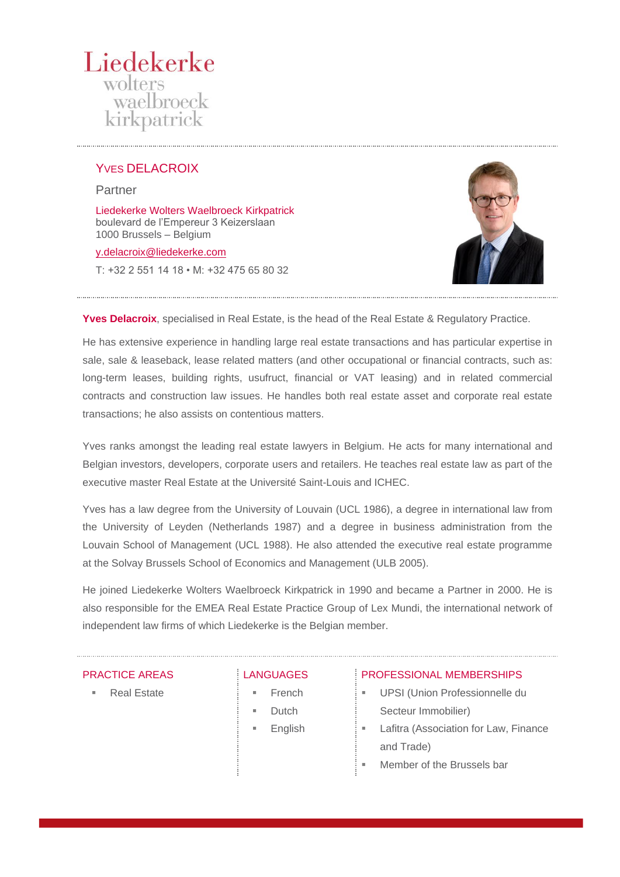# Liedekerke wolters waelbroeck kirkpatrick

# YVES DELACROIX

Partner

Liedekerke Wolters Waelbroeck Kirkpatrick boulevard de l'Empereur 3 Keizerslaan 1000 Brussels – Belgium

## [y.delacroix@liedekerke.com](mailto:x.xxxx@liedekerke.com)

T: +32 2 551 14 18 • M: +32 475 65 80 32



**Yves Delacroix**, specialised in Real Estate, is the head of the Real Estate & Regulatory Practice.

He has extensive experience in handling large real estate transactions and has particular expertise in sale, sale & leaseback, lease related matters (and other occupational or financial contracts, such as: long-term leases, building rights, usufruct, financial or VAT leasing) and in related commercial contracts and construction law issues. He handles both real estate asset and corporate real estate transactions; he also assists on contentious matters.

Yves ranks amongst the leading real estate lawyers in Belgium. He acts for many international and Belgian investors, developers, corporate users and retailers. He teaches real estate law as part of the executive master Real Estate at the Université Saint-Louis and ICHEC.

Yves has a law degree from the University of Louvain (UCL 1986), a degree in international law from the University of Leyden (Netherlands 1987) and a degree in business administration from the Louvain School of Management (UCL 1988). He also attended the executive real estate programme at the Solvay Brussels School of Economics and Management (ULB 2005).

He joined Liedekerke Wolters Waelbroeck Kirkpatrick in 1990 and became a Partner in 2000. He is also responsible for the EMEA Real Estate Practice Group of Lex Mundi, the international network of independent law firms of which Liedekerke is the Belgian member.

## PRACTICE AREAS

**Real Estate** 

## **LANGUAGES**

- **French**
- **Dutch**
- **English**

## PROFESSIONAL MEMBERSHIPS

- UPSI (Union Professionnelle du Secteur Immobilier)
- **EXEC** Lafitra (Association for Law, Finance and Trade)
	- Member of the Brussels bar